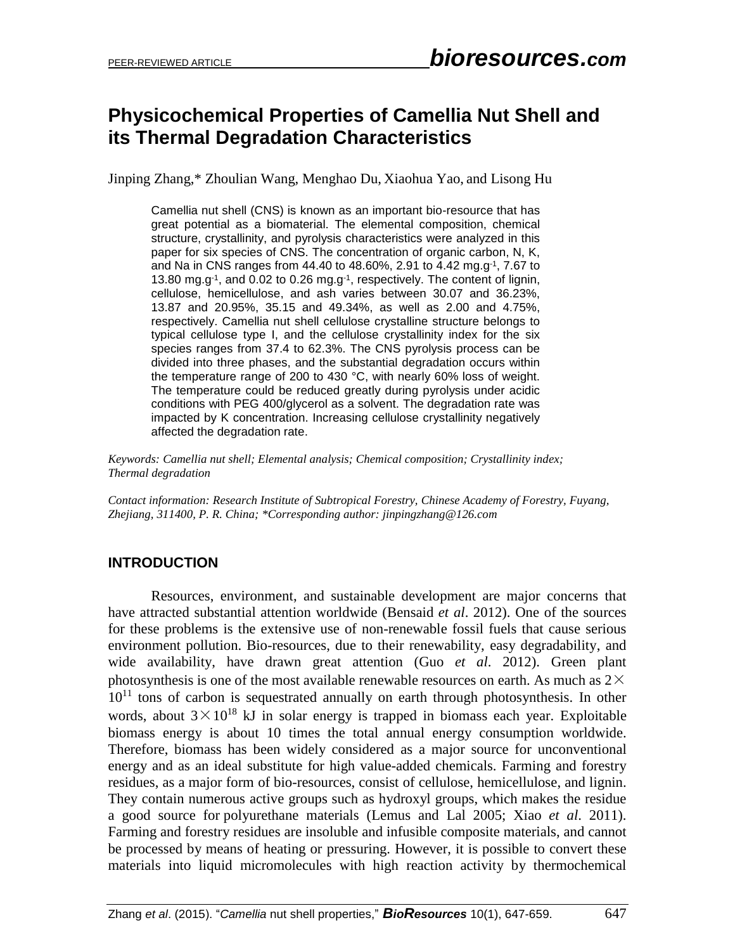# **Physicochemical Properties of Camellia Nut Shell and its Thermal Degradation Characteristics**

Jinping Zhang,\* Zhoulian Wang, Menghao Du, Xiaohua Yao, and Lisong Hu

Camellia nut shell (CNS) is known as an important bio-resource that has great potential as a biomaterial. The elemental composition, chemical structure, crystallinity, and pyrolysis characteristics were analyzed in this paper for six species of CNS. The concentration of organic carbon, N, K, and Na in CNS ranges from 44.40 to 48.60%, 2.91 to 4.42 mg.g<sup>-1</sup>, 7.67 to 13.80 mg.g<sup>-1</sup>, and 0.02 to 0.26 mg.g<sup>-1</sup>, respectively. The content of lignin, cellulose, hemicellulose, and ash varies between 30.07 and 36.23%, 13.87 and 20.95%, 35.15 and 49.34%, as well as 2.00 and 4.75%, respectively. Camellia nut shell cellulose crystalline structure belongs to typical cellulose type I, and the cellulose crystallinity index for the six species ranges from 37.4 to 62.3%. The CNS pyrolysis process can be divided into three phases, and the substantial degradation occurs within the temperature range of 200 to 430 °C, with nearly 60% loss of weight. The temperature could be reduced greatly during pyrolysis under acidic conditions with PEG 400/glycerol as a solvent. The degradation rate was impacted by K concentration. Increasing cellulose crystallinity negatively affected the degradation rate.

*Keywords: Camellia nut shell; Elemental analysis; Chemical composition; Crystallinity index; Thermal degradation*

*Contact information: Research Institute of Subtropical Forestry, Chinese Academy of Forestry, Fuyang, Zhejiang, 311400, P. R. China; \*Corresponding author: jinpingzhang@126.com*

# **INTRODUCTION**

Resources, environment, and sustainable development are major concerns that have attracted substantial attention worldwide (Bensaid *et al*. 2012). One of the sources for these problems is the extensive use of non-renewable fossil fuels that cause serious environment pollution. Bio-resources, due to their renewability, easy degradability, and wide availability, have drawn great attention (Guo *et al*. 2012). Green plant photosynthesis is one of the most available renewable resources on earth. As much as  $2\times$  $10^{11}$  tons of carbon is sequestrated annually on earth through photosynthesis. In other words, about  $3 \times 10^{18}$  kJ in solar energy is trapped in biomass each year. Exploitable biomass energy is about 10 times the total annual energy consumption worldwide. Therefore, biomass has been widely considered as a major source for unconventional energy and as an ideal substitute for high value-added chemicals. Farming and forestry residues, as a major form of bio-resources, consist of cellulose, hemicellulose, and lignin. They contain numerous active groups such as hydroxyl groups, which makes the residue a good source for polyurethane materials (Lemus and Lal 2005; Xiao *et al*. 2011). Farming and forestry residues are insoluble and infusible composite materials, and cannot be processed by means of heating or pressuring. However, it is possible to convert these materials into liquid micromolecules with high reaction activity by thermochemical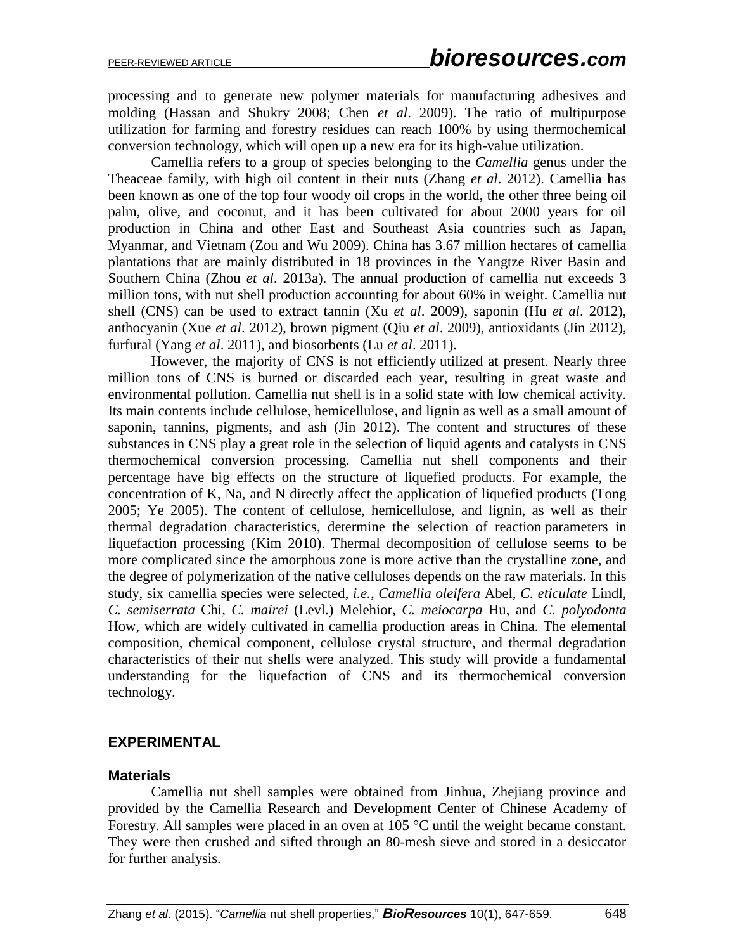processing and to generate new polymer materials for manufacturing adhesives and molding (Hassan and Shukry 2008; Chen *et al*. 2009). The ratio of multipurpose utilization for farming and forestry residues can reach 100% by using thermochemical conversion technology, which will open up a new era for its high-value utilization.

Camellia refers to a group of species belonging to the *Camellia* genus under the Theaceae family, with high oil content in their nuts (Zhang *et al*. 2012). Camellia has been known as one of the top four woody oil crops in the world, the other three being oil palm, olive, and coconut, and it has been cultivated for about 2000 years for oil production in China and other East and Southeast Asia countries such as Japan, Myanmar, and Vietnam (Zou and Wu 2009). China has 3.67 million hectares of camellia plantations that are mainly distributed in 18 provinces in the Yangtze River Basin and Southern China (Zhou *et al*. 2013a). The annual production of camellia nut exceeds 3 million tons, with nut shell production accounting for about 60% in weight. Camellia nut shell (CNS) can be used to extract tannin (Xu *et al*. 2009), saponin (Hu *et al*. 2012), anthocyanin (Xue *et al*. 2012), brown pigment (Qiu *et al*. 2009), antioxidants (Jin 2012), furfural (Yang *et al*. 2011), and biosorbents (Lu *et al*. 2011).

However, the majority of CNS is not efficiently utilized at present. Nearly three million tons of CNS is burned or discarded each year, resulting in great waste and environmental pollution. Camellia nut shell is in a solid state with low chemical activity. Its main contents include cellulose, hemicellulose, and lignin as well as a small amount of saponin, tannins, pigments, and ash (Jin 2012). The content and structures of these substances in CNS play a great role in the selection of liquid agents and catalysts in CNS thermochemical conversion processing. Camellia nut shell components and their percentage have big effects on the structure of liquefied products. For example, the concentration of K, Na, and N directly affect the application of liquefied products (Tong 2005; Ye 2005). The content of cellulose, hemicellulose, and lignin, as well as their thermal degradation characteristics, determine the selection of reaction parameters in liquefaction processing (Kim 2010). Thermal decomposition of cellulose seems to be more complicated since the amorphous zone is more active than the crystalline zone, and the degree of polymerization of the native celluloses depends on the raw materials. In this study, six camellia species were selected, *i.e.*, *Camellia oleifera* Abel*, C. eticulate* Lindl*, C. semiserrata* Chi*, C. mairei* (Levl.) Melehior, *C. meiocarpa* Hu, and *C. polyodonta* How, which are widely cultivated in camellia production areas in China. The elemental composition, chemical component, cellulose crystal structure, and thermal degradation characteristics of their nut shells were analyzed. This study will provide a fundamental understanding for the liquefaction of CNS and its thermochemical conversion technology.

# **EXPERIMENTAL**

#### **Materials**

Camellia nut shell samples were obtained from Jinhua, Zhejiang province and provided by the Camellia Research and Development Center of Chinese Academy of Forestry. All samples were placed in an oven at 105 °C until the weight became constant. They were then crushed and sifted through an 80-mesh sieve and stored in a desiccator for further analysis.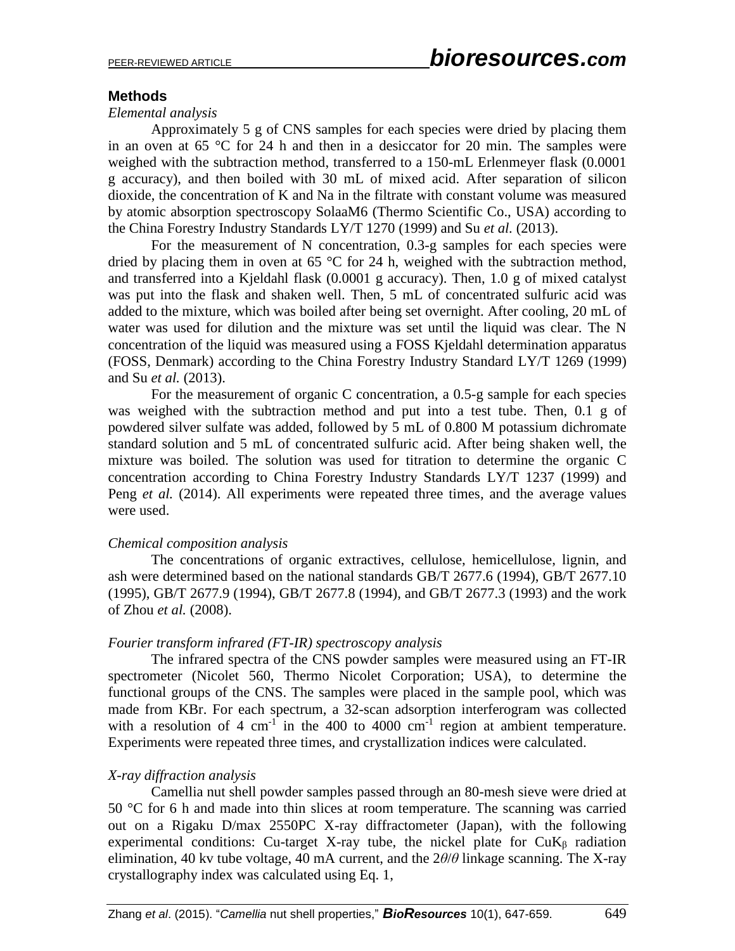# **Methods**

#### *Elemental analysis*

Approximately 5 g of CNS samples for each species were dried by placing them in an oven at 65 °C for 24 h and then in a desiccator for 20 min. The samples were weighed with the subtraction method, transferred to a 150-mL Erlenmeyer flask (0.0001 g accuracy), and then boiled with 30 mL of mixed acid. After separation of silicon dioxide, the concentration of K and Na in the filtrate with constant volume was measured by atomic absorption spectroscopy SolaaM6 (Thermo Scientific Co., USA) according to the China Forestry Industry Standards LY/T 1270 (1999) and Su *et al.* (2013).

For the measurement of N concentration, 0.3-g samples for each species were dried by placing them in oven at 65  $\degree$ C for 24 h, weighed with the subtraction method, and transferred into a Kjeldahl flask (0.0001 g accuracy). Then, 1.0 g of mixed catalyst was put into the flask and shaken well. Then, 5 mL of concentrated sulfuric acid was added to the mixture, which was boiled after being set overnight. After cooling, 20 mL of water was used for dilution and the mixture was set until the liquid was clear. The N concentration of the liquid was measured using a FOSS Kjeldahl determination apparatus (FOSS, Denmark) according to the China Forestry Industry Standard LY/T 1269 (1999) and Su *et al.* (2013).

For the measurement of organic C concentration, a 0.5-g sample for each species was weighed with the subtraction method and put into a test tube. Then, 0.1 g of powdered silver sulfate was added, followed by 5 mL of 0.800 M potassium dichromate standard solution and 5 mL of concentrated sulfuric acid. After being shaken well, the mixture was boiled. The solution was used for titration to determine the organic C concentration according to China Forestry Industry Standards LY/T 1237 (1999) and Peng *et al.* (2014). All experiments were repeated three times, and the average values were used.

#### *Chemical composition analysis*

The concentrations of organic extractives, cellulose, hemicellulose, lignin, and ash were determined based on the national standards GB/T 2677.6 (1994), GB/T 2677.10 (1995), GB/T 2677.9 (1994), GB/T 2677.8 (1994), and GB/T 2677.3 (1993) and the work of Zhou *et al.* (2008).

#### *Fourier transform infrared (FT-IR) spectroscopy analysis*

The infrared spectra of the CNS powder samples were measured using an FT-IR spectrometer (Nicolet 560, Thermo Nicolet Corporation; USA), to determine the functional groups of the CNS. The samples were placed in the sample pool, which was made from KBr. For each spectrum, a 32-scan adsorption interferogram was collected with a resolution of 4 cm<sup>-1</sup> in the 400 to 4000 cm<sup>-1</sup> region at ambient temperature. Experiments were repeated three times, and crystallization indices were calculated.

# *X-ray diffraction analysis*

Camellia nut shell powder samples passed through an 80-mesh sieve were dried at 50 °C for 6 h and made into thin slices at room temperature. The scanning was carried out on a Rigaku D/max 2550PC X-ray diffractometer (Japan), with the following experimental conditions: Cu-target X-ray tube, the nickel plate for  $CuK<sub>β</sub>$  radiation elimination, 40 kv tube voltage, 40 mA current, and the 2*θ*/*θ* linkage scanning. The X-ray crystallography index was calculated using Eq. 1,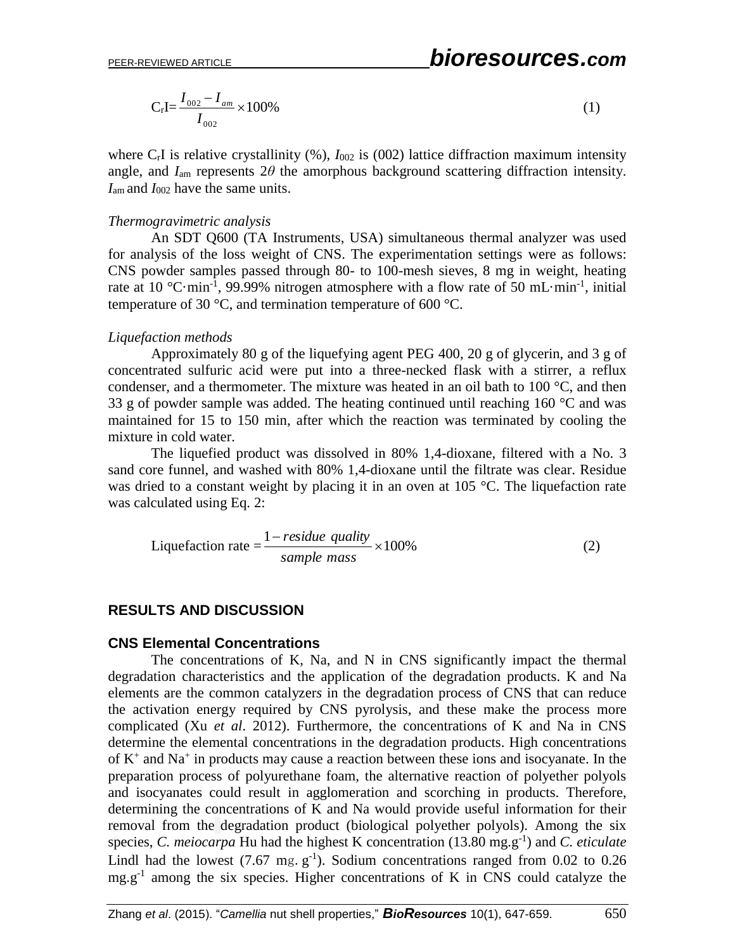$$
C_r I = \frac{I_{002} - I_{am}}{I_{002}} \times 100\%
$$
\n(1)

where  $C_rI$  is relative crystallinity  $(\%)$ ,  $I_{002}$  is  $(002)$  lattice diffraction maximum intensity angle, and  $I_{\text{am}}$  represents  $2\theta$  the amorphous background scattering diffraction intensity. *I*am and *I*<sup>002</sup> have the same units.

#### *Thermogravimetric analysis*

An SDT Q600 (TA Instruments, USA) simultaneous thermal analyzer was used for analysis of the loss weight of CNS. The experimentation settings were as follows: CNS powder samples passed through 80- to 100-mesh sieves, 8 mg in weight, heating rate at 10 °C·min<sup>-1</sup>, 99.99% nitrogen atmosphere with a flow rate of 50 mL·min<sup>-1</sup>, initial temperature of 30 °C, and termination temperature of 600 °C.

#### *Liquefaction methods*

Approximately 80 g of the liquefying agent PEG 400, 20 g of glycerin, and 3 g of concentrated sulfuric acid were put into a three-necked flask with a stirrer, a reflux condenser, and a thermometer. The mixture was heated in an oil bath to  $100^{\circ}$ C, and then 33 g of powder sample was added. The heating continued until reaching 160  $\degree$ C and was maintained for 15 to 150 min, after which the reaction was terminated by cooling the mixture in cold water.

The liquefied product was dissolved in 80% 1,4-dioxane, filtered with a No. 3 sand core funnel, and washed with 80% 1,4-dioxane until the filtrate was clear. Residue was dried to a constant weight by placing it in an oven at 105 °C. The liquefaction rate was calculated using Eq. 2:

$$
Liquefaction rate = \frac{1 - residue\ quality}{sample\ mass} \times 100\%
$$
 (2)

# **RESULTS AND DISCUSSION**

#### **CNS Elemental Concentrations**

The concentrations of K, Na, and N in CNS significantly impact the thermal degradation characteristics and the application of the degradation products. K and Na elements are the common catalyzer*s* in the degradation process of CNS that can reduce the activation energy required by CNS pyrolysis, and these make the process more complicated (Xu *et al*. 2012). Furthermore, the concentrations of K and Na in CNS determine the elemental concentrations in the degradation products. High concentrations of  $K^+$  and  $Na^+$  in products may cause a reaction between these ions and isocyanate. In the preparation process of polyurethane foam, the alternative reaction of polyether polyols and isocyanates could result in agglomeration and scorching in products. Therefore, determining the concentrations of K and Na would provide useful information for their removal from the degradation product (biological polyether polyols). Among the six species, *C. meiocarpa* Hu had the highest K concentration (13.80 mg.g-1 ) and *C. eticulate* Lindl had the lowest  $(7.67 \text{ mg} \cdot \text{g}^{-1})$ . Sodium concentrations ranged from 0.02 to 0.26 mg.g<sup>-1</sup> among the six species. Higher concentrations of K in CNS could catalyze the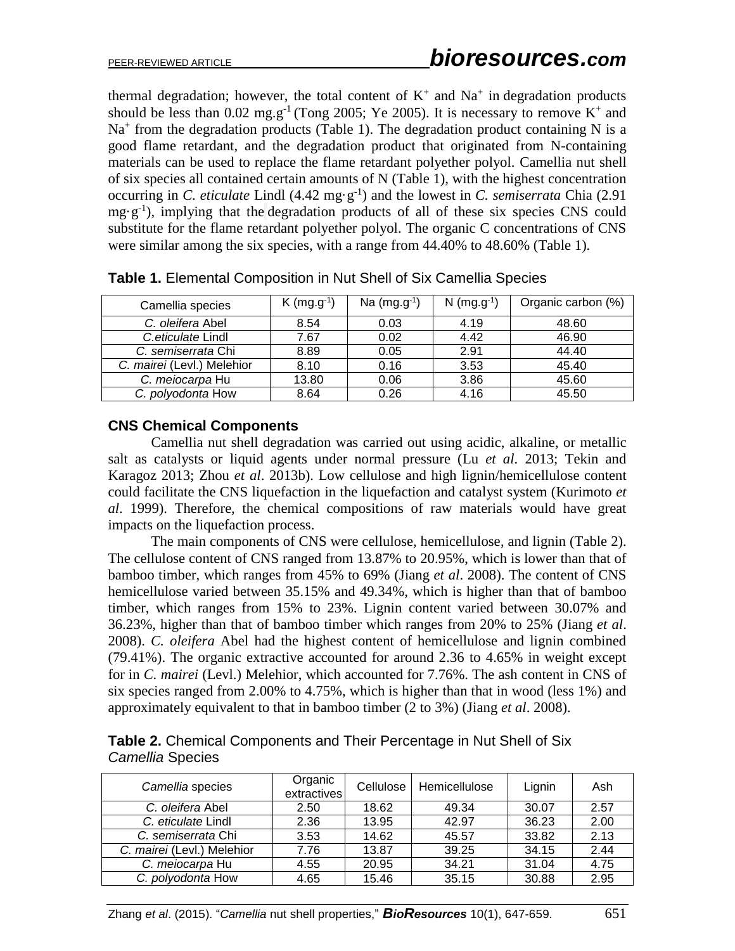thermal degradation; however, the total content of  $K^+$  and  $Na^+$  in degradation products should be less than 0.02 mg.g<sup>-1</sup> (Tong 2005; Ye 2005). It is necessary to remove  $K^+$  and Na<sup>+</sup> from the degradation products (Table 1). The degradation product containing N is a good flame retardant, and the degradation product that originated from N-containing materials can be used to replace the flame retardant polyether polyol. Camellia nut shell of six species all contained certain amounts of N (Table 1), with the highest concentration occurring in *C. eticulate* Lindl  $(4.42 \text{ mg} \cdot \text{g}^{-1})$  and the lowest in *C. semiserrata* Chia (2.91)  $mg \cdot g^{-1}$ ), implying that the degradation products of all of these six species CNS could substitute for the flame retardant polyether polyol. The organic C concentrations of CNS were similar among the six species, with a range from 44.40% to 48.60% (Table 1).

| Camellia species           | $K$ (mg.g <sup>-1</sup> ) | Na $(mg.g^{-1})$ | $N$ (mg.g <sup>-1</sup> ) | Organic carbon (%) |
|----------------------------|---------------------------|------------------|---------------------------|--------------------|
| C. oleifera Abel           | 8.54                      | 0.03             | 4.19                      | 48.60              |
| C.eticulate Lindl          | 7.67                      | 0.02             | 4.42                      | 46.90              |
| C. semiserrata Chi         | 8.89                      | 0.05             | 2.91                      | 44.40              |
| C. mairei (Levl.) Melehior | 8.10                      | 0.16             | 3.53                      | 45.40              |
| C. meiocarpa Hu            | 13.80                     | 0.06             | 3.86                      | 45.60              |
| C. polyodonta How          | 8.64                      | 0.26             | 4.16                      | 45.50              |

**Table 1.** Elemental Composition in Nut Shell of Six Camellia Species

# **CNS Chemical Components**

Camellia nut shell degradation was carried out using acidic, alkaline, or metallic salt as catalysts or liquid agents under normal pressure (Lu *et al*. 2013; Tekin and Karagoz 2013; Zhou *et al*. 2013b). Low cellulose and high lignin/hemicellulose content could facilitate the CNS liquefaction in the liquefaction and catalyst system (Kurimoto *et al*. 1999). Therefore, the chemical compositions of raw materials would have great impacts on the liquefaction process.

The main components of CNS were cellulose, hemicellulose, and lignin (Table 2). The cellulose content of CNS ranged from 13.87% to 20.95%, which is lower than that of bamboo timber, which ranges from 45% to 69% (Jiang *et al*. 2008). The content of CNS hemicellulose varied between 35.15% and 49.34%, which is higher than that of bamboo timber, which ranges from 15% to 23%. Lignin content varied between 30.07% and 36.23%, higher than that of bamboo timber which ranges from 20% to 25% (Jiang *et al*. 2008). *C. oleifera* Abel had the highest content of hemicellulose and lignin combined (79.41%). The organic extractive accounted for around 2.36 to 4.65% in weight except for in *C. mairei* (Levl.) Melehior, which accounted for 7.76%. The ash content in CNS of six species ranged from 2.00% to 4.75%, which is higher than that in wood (less 1%) and approximately equivalent to that in bamboo timber (2 to 3%) (Jiang *et al*. 2008).

|                  |  | Table 2. Chemical Components and Their Percentage in Nut Shell of Six |
|------------------|--|-----------------------------------------------------------------------|
| Camellia Species |  |                                                                       |

| Camellia species           | Organic<br>extractives | Cellulose | Hemicellulose | Lignin | Ash  |
|----------------------------|------------------------|-----------|---------------|--------|------|
| C. oleifera Abel           | 2.50                   | 18.62     | 49.34         | 30.07  | 2.57 |
| C. eticulate Lindl         | 2.36                   | 13.95     | 42.97         | 36.23  | 2.00 |
| C. semiserrata Chi         | 3.53                   | 14.62     | 45.57         | 33.82  | 2.13 |
| C. mairei (Levl.) Melehior | 7.76                   | 13.87     | 39.25         | 34.15  | 2.44 |
| C. meiocarpa Hu            | 4.55                   | 20.95     | 34.21         | 31.04  | 4.75 |
| C. polyodonta How          | 4.65                   | 15.46     | 35.15         | 30.88  | 2.95 |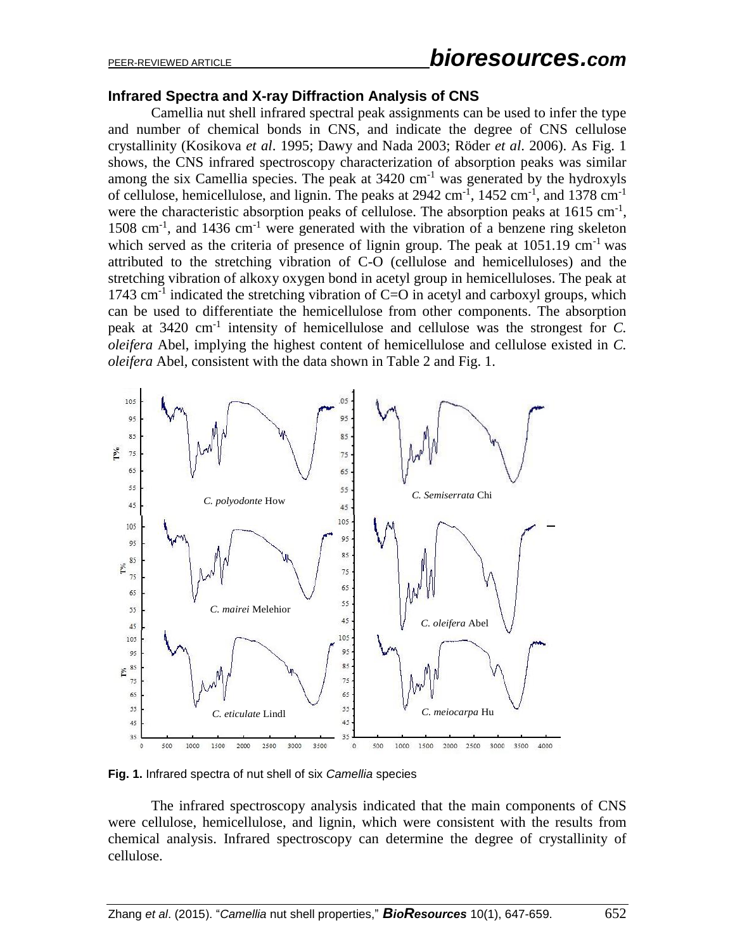### **Infrared Spectra and X-ray Diffraction Analysis of CNS**

Camellia nut shell infrared spectral peak assignments can be used to infer the type and number of chemical bonds in CNS, and indicate the degree of CNS cellulose crystallinity (Kosikova *et al*. 1995; Dawy and Nada 2003; Röder *et al*. 2006). As Fig. 1 shows, the CNS infrared spectroscopy characterization of absorption peaks was similar among the six Camellia species. The peak at  $3420 \text{ cm}^{-1}$  was generated by the hydroxyls of cellulose, hemicellulose, and lignin. The peaks at  $2942 \text{ cm}^{-1}$ ,  $1452 \text{ cm}^{-1}$ , and  $1378 \text{ cm}^{-1}$ were the characteristic absorption peaks of cellulose. The absorption peaks at  $1615 \text{ cm}^{-1}$ , 1508 cm<sup>-1</sup>, and 1436 cm<sup>-1</sup> were generated with the vibration of a benzene ring skeleton which served as the criteria of presence of lignin group. The peak at  $1051.19 \text{ cm}^{-1}$  was attributed to the stretching vibration of C-O (cellulose and hemicelluloses) and the stretching vibration of alkoxy oxygen bond in acetyl group in hemicelluloses. The peak at 1743  $\text{cm}^{-1}$  indicated the stretching vibration of C=O in acetyl and carboxyl groups, which can be used to differentiate the hemicellulose from other components. The absorption peak at 3420 cm-1 intensity of hemicellulose and cellulose was the strongest for *C. oleifera* Abel, implying the highest content of hemicellulose and cellulose existed in *C. oleifera* Abel, consistent with the data shown in Table 2 and Fig. 1.



**Fig. 1.** Infrared spectra of nut shell of six *Camellia* species

The infrared spectroscopy analysis indicated that the main components of CNS were cellulose, hemicellulose, and lignin, which were consistent with the results from chemical analysis. Infrared spectroscopy can determine the degree of crystallinity of cellulose.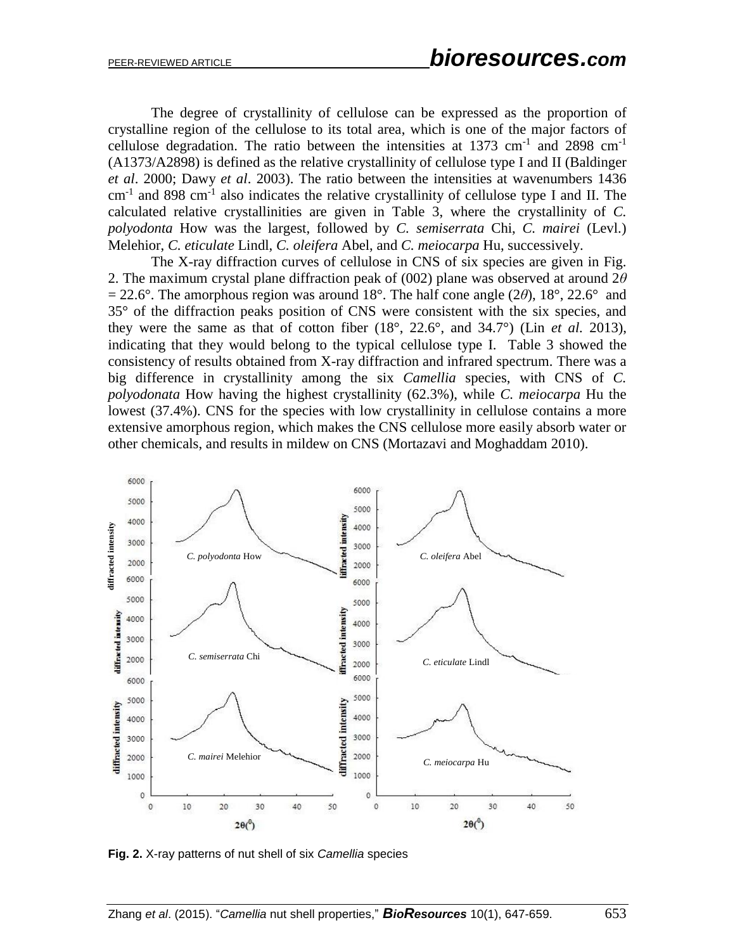The degree of crystallinity of cellulose can be expressed as the proportion of crystalline region of the cellulose to its total area, which is one of the major factors of cellulose degradation. The ratio between the intensities at 1373 cm<sup>-1</sup> and 2898 cm<sup>-1</sup> (A1373/A2898) is defined as the relative crystallinity of cellulose type I and II (Baldinger *et al*. 2000; Dawy *et al*. 2003). The ratio between the intensities at wavenumbers 1436  $cm<sup>-1</sup>$  and 898 cm<sup>-1</sup> also indicates the relative crystallinity of cellulose type I and II. The calculated relative crystallinities are given in Table 3, where the crystallinity of *C. polyodonta* How was the largest, followed by *C. semiserrata* Chi, *C. mairei* (Levl.) Melehior, *C. eticulate* Lindl, *C. oleifera* Abel, and *C. meiocarpa* Hu, successively.

The X-ray diffraction curves of cellulose in CNS of six species are given in Fig. 2. The maximum crystal plane diffraction peak of (002) plane was observed at around 2*θ*  $= 22.6^{\circ}$ . The amorphous region was around 18°. The half cone angle (2 $\theta$ ), 18°, 22.6° and 35° of the diffraction peaks position of CNS were consistent with the six species, and they were the same as that of cotton fiber  $(18^\circ, 22.6^\circ, \text{ and } 34.7^\circ)$  (Lin *et al.* 2013), indicating that they would belong to the typical cellulose type I. Table 3 showed the consistency of results obtained from X-ray diffraction and infrared spectrum. There was a big difference in crystallinity among the six *Camellia* species, with CNS of *C. polyodonata* How having the highest crystallinity (62.3%), while *C. meiocarpa* Hu the lowest (37.4%). CNS for the species with low crystallinity in cellulose contains a more extensive amorphous region, which makes the CNS cellulose more easily absorb water or other chemicals, and results in mildew on CNS (Mortazavi and Moghaddam 2010).



**Fig. 2.** X-ray patterns of nut shell of six *Camellia* species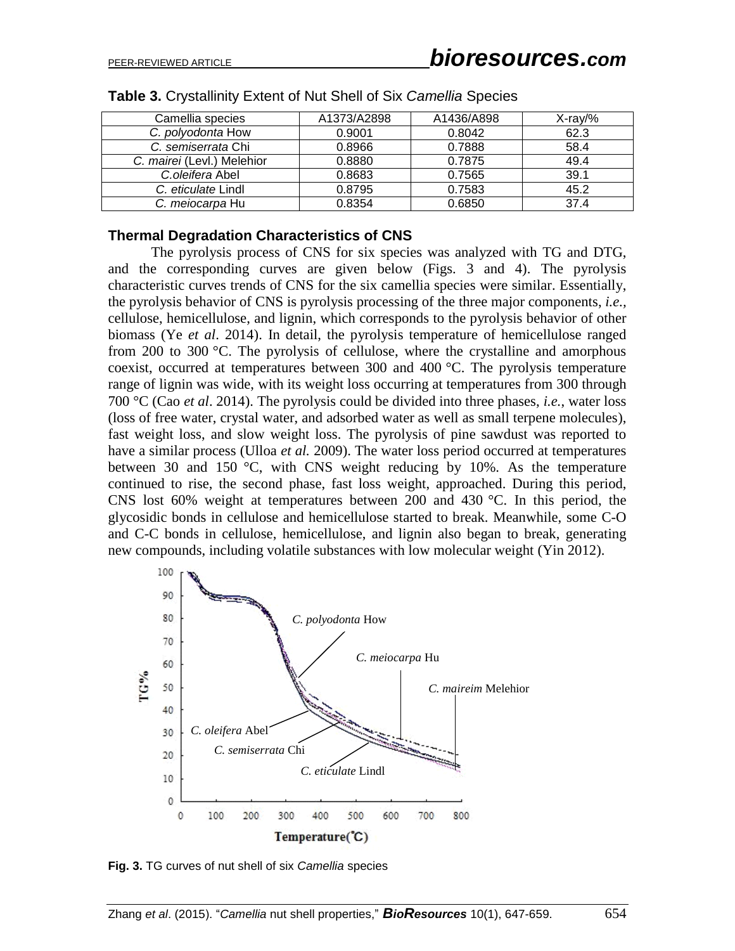| Camellia species           | A1373/A2898 | A1436/A898 | $X-ray\%$ |
|----------------------------|-------------|------------|-----------|
| C. polyodonta How          | 0.9001      | 0.8042     | 62.3      |
| C. semiserrata Chi         | 0.8966      | 0.7888     | 58.4      |
| C. mairei (Levl.) Melehior | 0.8880      | 0.7875     | 49.4      |
| C.oleifera Abel            | 0.8683      | 0.7565     | 39.1      |
| C. eticulate Lindl         | 0.8795      | 0.7583     | 45.2      |
| C. meiocarpa Hu            | 0.8354      | 0.6850     | 37.4      |

|  |  |  | Table 3. Crystallinity Extent of Nut Shell of Six Camellia Species |
|--|--|--|--------------------------------------------------------------------|
|--|--|--|--------------------------------------------------------------------|

### **Thermal Degradation Characteristics of CNS**

The pyrolysis process of CNS for six species was analyzed with TG and DTG, and the corresponding curves are given below (Figs. 3 and 4). The pyrolysis characteristic curves trends of CNS for the six camellia species were similar. Essentially, the pyrolysis behavior of CNS is pyrolysis processing of the three major components, *i.e.,* cellulose, hemicellulose, and lignin, which corresponds to the pyrolysis behavior of other biomass (Ye *et al*. 2014). In detail, the pyrolysis temperature of hemicellulose ranged from 200 to 300 °C. The pyrolysis of cellulose, where the crystalline and amorphous coexist, occurred at temperatures between 300 and 400 °C. The pyrolysis temperature range of lignin was wide, with its weight loss occurring at temperatures from 300 through 700 °C (Cao *et al*. 2014). The pyrolysis could be divided into three phases, *i.e.*, water loss (loss of free water, crystal water, and adsorbed water as well as small terpene molecules), fast weight loss, and slow weight loss. The pyrolysis of pine sawdust was reported to have a similar process (Ulloa *et al.* 2009). The water loss period occurred at temperatures between 30 and 150 °C, with CNS weight reducing by 10%. As the temperature continued to rise, the second phase, fast loss weight, approached. During this period, CNS lost 60% weight at temperatures between 200 and 430 °C. In this period, the glycosidic bonds in cellulose and hemicellulose started to break. Meanwhile, some C-O and C-C bonds in cellulose, hemicellulose, and lignin also began to break, generating new compounds, including volatile substances with low molecular weight (Yin 2012).



**Fig. 3.** TG curves of nut shell of six *Camellia* species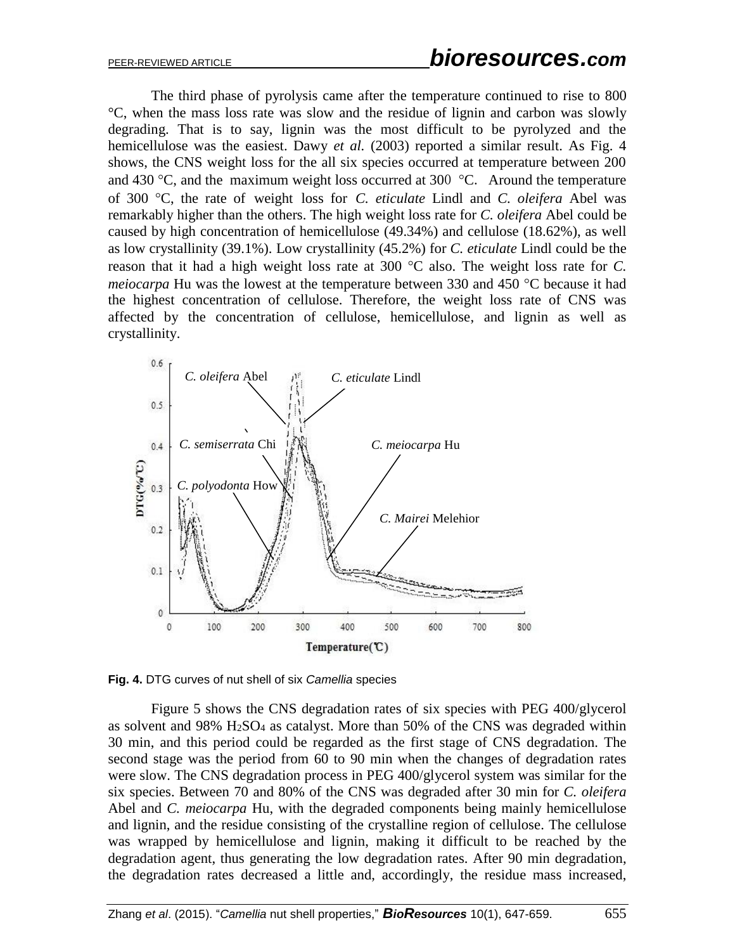The third phase of pyrolysis came after the temperature continued to rise to 800 °C, when the mass loss rate was slow and the residue of lignin and carbon was slowly degrading. That is to say, lignin was the most difficult to be pyrolyzed and the hemicellulose was the easiest. Dawy *et al.* (2003) reported a similar result. As Fig. 4 shows, the CNS weight loss for the all six species occurred at temperature between 200 and 430  $\degree$ C, and the maximum weight loss occurred at 300  $\degree$ C. Around the temperature of 300 C, the rate of weight loss for *C. eticulate* Lindl and *C. oleifera* Abel was remarkably higher than the others. The high weight loss rate for *C. oleifera* Abel could be caused by high concentration of hemicellulose (49.34%) and cellulose (18.62%), as well as low crystallinity (39.1%). Low crystallinity (45.2%) for *C. eticulate* Lindl could be the reason that it had a high weight loss rate at 300  $\degree$ C also. The weight loss rate for *C*. *meiocarpa* Hu was the lowest at the temperature between 330 and 450 °C because it had the highest concentration of cellulose. Therefore, the weight loss rate of CNS was affected by the concentration of cellulose, hemicellulose, and lignin as well as crystallinity.



**Fig. 4.** DTG curves of nut shell of six *Camellia* species

Figure 5 shows the CNS degradation rates of six species with PEG 400/glycerol as solvent and  $98\%$  H<sub>2</sub>SO<sub>4</sub> as catalyst. More than 50% of the CNS was degraded within 30 min, and this period could be regarded as the first stage of CNS degradation. The second stage was the period from 60 to 90 min when the changes of degradation rates were slow. The CNS degradation process in PEG 400/glycerol system was similar for the six species. Between 70 and 80% of the CNS was degraded after 30 min for *C. oleifera* Abel and *C. meiocarpa* Hu, with the degraded components being mainly hemicellulose and lignin, and the residue consisting of the crystalline region of cellulose. The cellulose was wrapped by hemicellulose and lignin, making it difficult to be reached by the degradation agent, thus generating the low degradation rates. After 90 min degradation, the degradation rates decreased a little and, accordingly, the residue mass increased,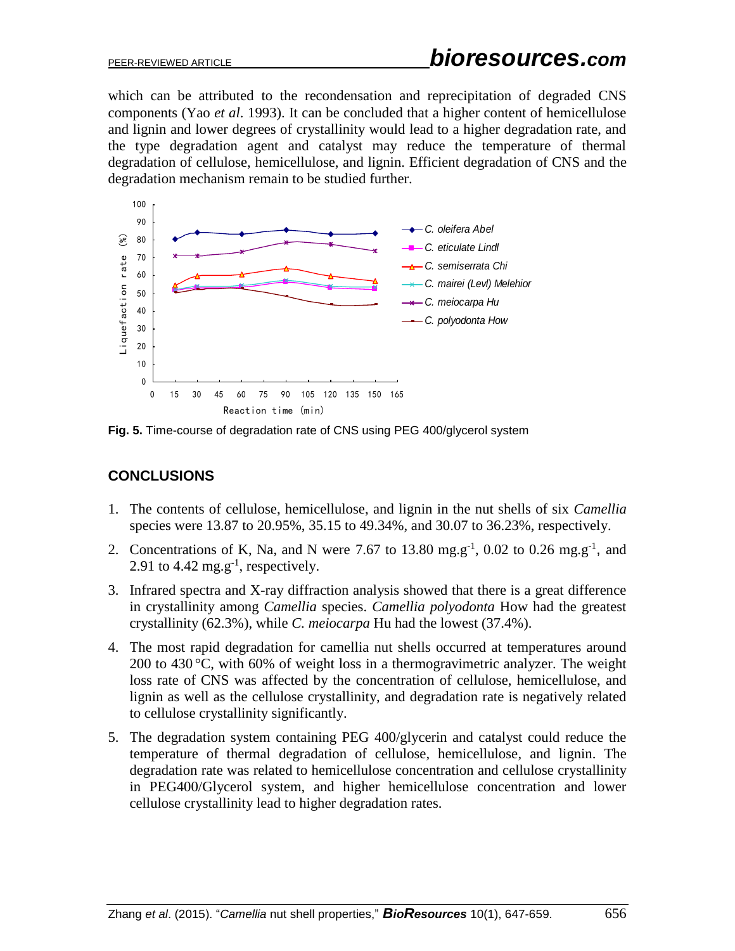which can be attributed to the recondensation and reprecipitation of degraded CNS components (Yao *et al*. 1993). It can be concluded that a higher content of hemicellulose and lignin and lower degrees of crystallinity would lead to a higher degradation rate, and the type degradation agent and catalyst may reduce the temperature of thermal degradation of cellulose, hemicellulose, and lignin. Efficient degradation of CNS and the degradation mechanism remain to be studied further.



**Fig. 5.** Time-course of degradation rate of CNS using PEG 400/glycerol system

# **CONCLUSIONS**

- 1. The contents of cellulose, hemicellulose, and lignin in the nut shells of six *Camellia* species were 13.87 to 20.95%, 35.15 to 49.34%, and 30.07 to 36.23%, respectively.
- 2. Concentrations of K, Na, and N were 7.67 to 13.80 mg.g<sup>-1</sup>, 0.02 to 0.26 mg.g<sup>-1</sup>, and 2.91 to 4.42  $mg.g^{-1}$ , respectively.
- 3. Infrared spectra and X-ray diffraction analysis showed that there is a great difference in crystallinity among *Camellia* species. *Camellia polyodonta* How had the greatest crystallinity (62.3%), while *C. meiocarpa* Hu had the lowest (37.4%).
- 4. The most rapid degradation for camellia nut shells occurred at temperatures around 200 to 430  $\degree$ C, with 60% of weight loss in a thermogravimetric analyzer. The weight loss rate of CNS was affected by the concentration of cellulose, hemicellulose, and lignin as well as the cellulose crystallinity, and degradation rate is negatively related to cellulose crystallinity significantly.
- 5. The degradation system containing PEG 400/glycerin and catalyst could reduce the temperature of thermal degradation of cellulose, hemicellulose, and lignin. The degradation rate was related to hemicellulose concentration and cellulose crystallinity in PEG400/Glycerol system, and higher hemicellulose concentration and lower cellulose crystallinity lead to higher degradation rates.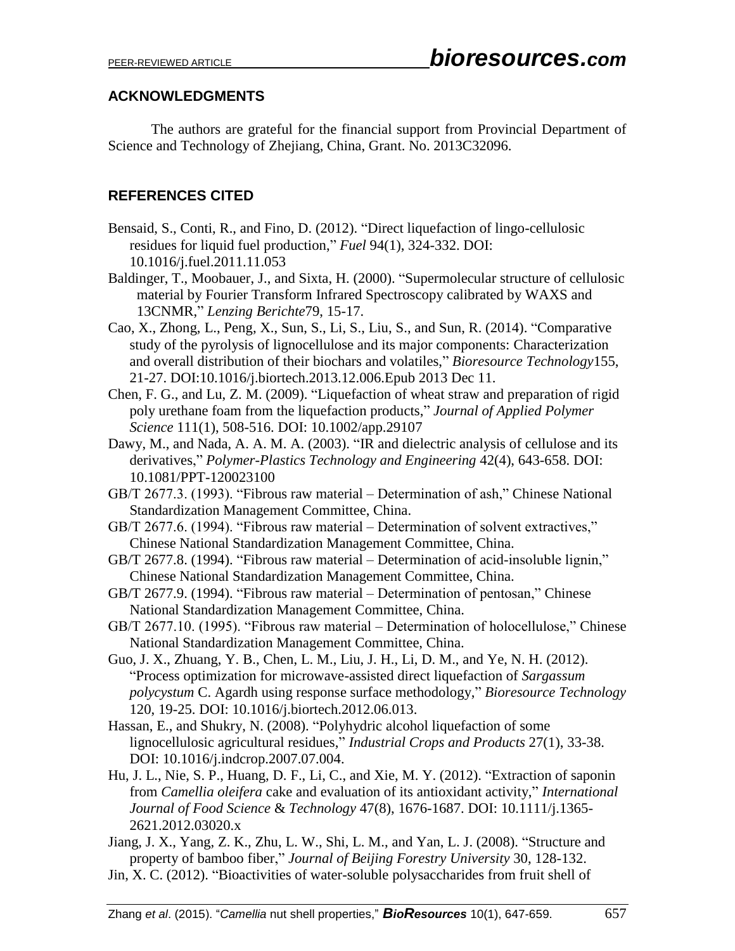# **ACKNOWLEDGMENTS**

The authors are grateful for the financial support from Provincial Department of Science and Technology of Zhejiang, China, Grant. No. 2013C32096.

# **REFERENCES CITED**

- Bensaid, S., Conti, R., and Fino, D. (2012). "Direct liquefaction of lingo-cellulosic residues for liquid fuel production," *Fuel* 94(1), 324-332. DOI: 10.1016/j.fuel.2011.11.053
- Baldinger, T., Moobauer, J., and Sixta, H. (2000). "Supermolecular structure of cellulosic material by Fourier Transform Infrared Spectroscopy calibrated by WAXS and 13CNMR," *Lenzing Berichte*79, 15-17.
- Cao, X., Zhong, L., Peng, X., Sun, S., Li, S., Liu, S., and Sun, R. (2014). "Comparative study of the pyrolysis of lignocellulose and its major components: Characterization and overall distribution of their biochars and volatiles," *Bioresource Technology*155, 21-27. DOI:10.1016/j.biortech.2013.12.006.Epub 2013 Dec 11.
- Chen, F. G., and Lu, Z. M. (2009). "Liquefaction of wheat straw and preparation of rigid poly urethane foam from the liquefaction products," *Journal of Applied Polymer Science* 111(1), 508-516. DOI: 10.1002/app.29107
- Dawy, M., and Nada, A. A. M. A. (2003). "IR and dielectric analysis of cellulose and its derivatives," *Polymer-Plastics Technology and Engineering* 42(4), 643-658. DOI: 10.1081/PPT-120023100
- GB/T 2677.3. (1993). "Fibrous raw material Determination of ash," Chinese National Standardization Management Committee, China.
- GB/T 2677.6. (1994). "Fibrous raw material Determination of solvent extractives," Chinese National Standardization Management Committee, China.
- GB/T 2677.8. (1994). "Fibrous raw material Determination of acid-insoluble lignin," Chinese National Standardization Management Committee, China.
- GB/T 2677.9. (1994). "Fibrous raw material Determination of pentosan," Chinese National Standardization Management Committee, China.
- GB/T 2677.10. (1995). "Fibrous raw material Determination of holocellulose," Chinese National Standardization Management Committee, China.
- Guo, J. X., Zhuang, Y. B., Chen, L. M., Liu, J. H., Li, D. M., and Ye, N. H. (2012). "Process optimization for microwave-assisted direct liquefaction of *Sargassum polycystum* C. Agardh using response surface methodology," *Bioresource Technology* 120, 19-25. DOI: 10.1016/j.biortech.2012.06.013.
- Hassan, E., and Shukry, N. (2008). "Polyhydric alcohol liquefaction of some lignocellulosic agricultural residues," *Industrial Crops and Products* 27(1), 33-38. DOI: 10.1016/j.indcrop.2007.07.004.
- Hu, J. L., Nie, S. P., Huang, D. F., Li, C., and Xie, M. Y. (2012). "Extraction of saponin from *Camellia oleifera* cake and evaluation of its antioxidant activity," *International Journal of Food Science* & *Technology* 47(8), 1676-1687. DOI: 10.1111/j.1365- 2621.2012.03020.x
- Jiang, J. X., Yang, Z. K., Zhu, L. W., Shi, L. M., and Yan, L. J. (2008). "Structure and property of bamboo fiber," *Journal of Beijing Forestry University* 30, 128-132.
- Jin, X. C. (2012). "Bioactivities of water-soluble polysaccharides from fruit shell of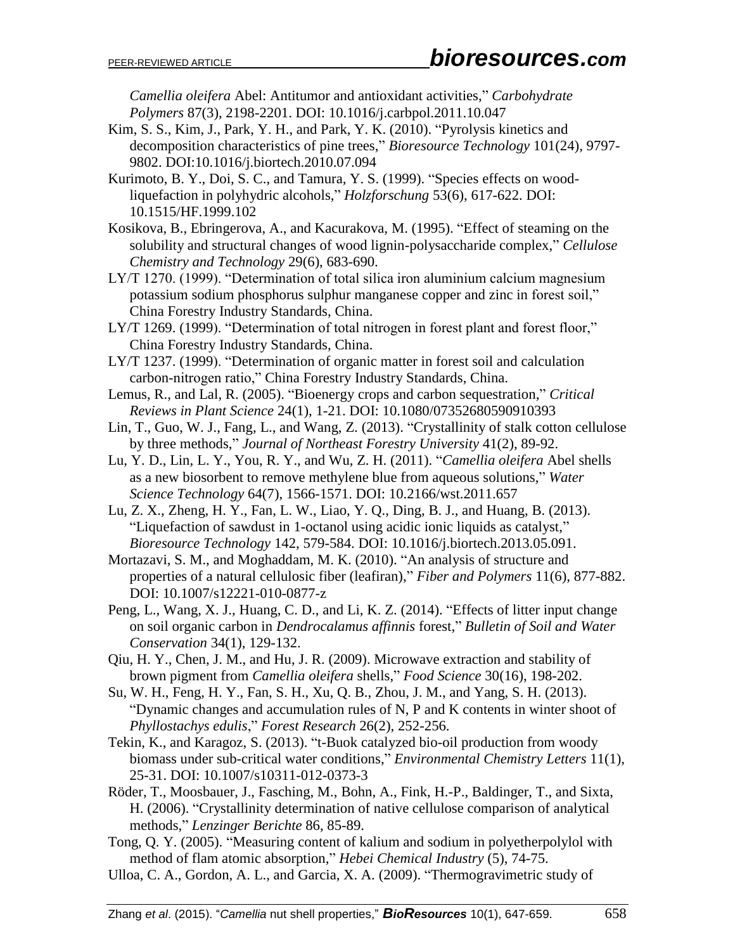*Camellia oleifera* Abel: Antitumor and antioxidant activities," *Carbohydrate Polymers* 87(3), 2198-2201. DOI: 10.1016/j.carbpol.2011.10.047

- Kim, S. S., Kim, J., Park, Y. H., and Park, Y. K. (2010). "Pyrolysis kinetics and decomposition characteristics of pine trees," *Bioresource Technology* 101(24), 9797- 9802. DOI:10.1016/j.biortech.2010.07.094
- Kurimoto, B. Y., Doi, S. C., and Tamura, Y. S. (1999). "Species effects on woodliquefaction in polyhydric alcohols," *Holzforschung* 53(6), 617-622. DOI: 10.1515/HF.1999.102
- Kosikova, B., Ebringerova, A., and Kacurakova, M. (1995). "Effect of steaming on the solubility and structural changes of wood lignin-polysaccharide complex," *Cellulose Chemistry and Technology* 29(6), 683-690.
- LY/T 1270. (1999). "Determination of total silica iron aluminium calcium magnesium potassium sodium phosphorus sulphur manganese copper and zinc in forest soil," China Forestry Industry Standards, China.
- LY/T 1269. (1999). "Determination of total nitrogen in forest plant and forest floor," China Forestry Industry Standards, China.
- LY/T 1237. (1999). "Determination of organic matter in forest soil and calculation carbon-nitrogen ratio," China Forestry Industry Standards, China.
- Lemus, R., and Lal, R. (2005). "Bioenergy crops and carbon sequestration," *Critical Reviews in Plant Science* 24(1), 1-21. DOI: 10.1080/07352680590910393
- Lin, T., Guo, W. J., Fang, L., and Wang, Z. (2013). "Crystallinity of stalk cotton cellulose by three methods," *Journal of Northeast Forestry University* 41(2), 89-92.
- Lu, Y. D., Lin, L. Y., You, R. Y., and Wu, Z. H. (2011). "*Camellia oleifera* Abel shells as a new biosorbent to remove methylene blue from aqueous solutions," *Water Science Technology* 64(7), 1566-1571. DOI: 10.2166/wst.2011.657
- Lu, Z. X., Zheng, H. Y., Fan, L. W., Liao, Y. Q., Ding, B. J., and Huang, B. (2013). "Liquefaction of sawdust in 1-octanol using acidic ionic liquids as catalyst," *Bioresource Technology* 142, 579-584. DOI: 10.1016/j.biortech.2013.05.091.
- Mortazavi, S. M., and Moghaddam, M. K. (2010). "An analysis of structure and properties of a natural cellulosic fiber (leafiran)," *Fiber and Polymers* 11(6), 877-882. DOI: 10.1007/s12221-010-0877-z
- Peng, L., Wang, X. J., Huang, C. D., and Li, K. Z. (2014). "Effects of litter input change on soil organic carbon in *Dendrocalamus affinnis* forest," *Bulletin of Soil and Water Conservation* 34(1), 129-132.
- Qiu, H. Y., Chen, J. M., and Hu, J. R. (2009). Microwave extraction and stability of brown pigment from *Camellia oleifera* shells," *Food Science* 30(16), 198-202.
- Su, W. H., Feng, H. Y., Fan, S. H., Xu, Q. B., Zhou, J. M., and Yang, S. H. (2013). "Dynamic changes and accumulation rules of N, P and K contents in winter shoot of *Phyllostachys edulis*," *Forest Research* 26(2), 252-256.
- Tekin, K., and Karagoz, S. (2013). "t-Buok catalyzed bio-oil production from woody biomass under sub-critical water conditions," *Environmental Chemistry Letters* 11(1), 25-31. DOI: 10.1007/s10311-012-0373-3
- Röder, T., Moosbauer, J., Fasching, M., Bohn, A., Fink, H.-P., Baldinger, T., and Sixta, H. (2006). "Crystallinity determination of native cellulose comparison of analytical methods," *Lenzinger Berichte* 86, 85-89.
- Tong, Q. Y. (2005). "Measuring content of kalium and sodium in polyetherpolylol with method of flam atomic absorption," *Hebei Chemical Industry* (5), 74-75.
- Ulloa, C. A., Gordon, A. L., and Garcia, X. A. (2009). "Thermogravimetric study of